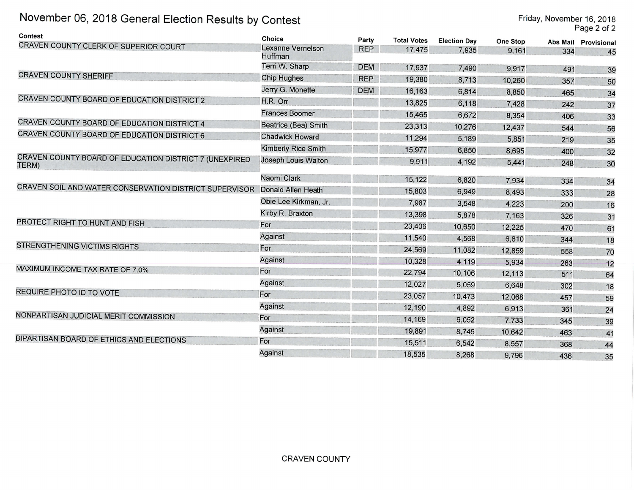## November 06, 2018 General Election Results by Contest

| Contest                                                         | <b>Choice</b>                       | Party      | <b>Total Votes</b> | <b>Election Day</b> | <b>One Stop</b> | Abs Mail | Provisiona     |
|-----------------------------------------------------------------|-------------------------------------|------------|--------------------|---------------------|-----------------|----------|----------------|
| CRAVEN COUNTY CLERK OF SUPERIOR COURT                           | Lexanne Vernelson<br><b>Huffman</b> | <b>REP</b> | 17,475             | 7,935               | 9.161           | 334      | 45             |
|                                                                 | Terri W. Sharp                      | <b>DEM</b> | 17,937             | 7,490               | 9,917           | 491      | 3 <sub>c</sub> |
| <b>CRAVEN COUNTY SHERIFF</b>                                    | <b>Chip Hughes</b>                  | <b>REP</b> | 19,380             | 8,713               | 10,260          | 357      | 50             |
|                                                                 | Jerry G. Monette                    | <b>DEM</b> | 16,163             | 6,814               | 8,850           | 465      | 34             |
| CRAVEN COUNTY BOARD OF EDUCATION DISTRICT 2                     | H.R. Orr                            |            | 13,825             | 6,118               | 7,428           | 242      | 37             |
|                                                                 | <b>Frances Boomer</b>               |            | 15,465             | 6,672               | 8,354           | 406      | 33             |
| CRAVEN COUNTY BOARD OF EDUCATION DISTRICT 4                     | Beatrice (Bea) Smith                |            | 23,313             | 10,276              | 12,437          | 544      | 56             |
| CRAVEN COUNTY BOARD OF EDUCATION DISTRICT 6                     | <b>Chadwick Howard</b>              |            | 11,294             | 5,189               | 5,851           | 219      | 35             |
|                                                                 | <b>Kimberly Rice Smith</b>          |            | 15,977             | 6,850               | 8,695           | 400      | 32             |
| CRAVEN COUNTY BOARD OF EDUCATION DISTRICT 7 (UNEXPIRED<br>TERM) | <b>Joseph Louis Walton</b>          |            | 9,911              | 4,192               | 5,441           | 248      | 30             |
|                                                                 | Naomi Clark                         |            | 15,122             | 6,820               | 7,934           | 334      | 34             |
| CRAVEN SOIL AND WATER CONSERVATION DISTRICT SUPERVISOR          | Donald Allen Heath                  |            | 15,803             | 6,949               | 8,493           | 333      | 28             |
|                                                                 | Obie Lee Kirkman, Jr.               |            | 7,987              | 3,548               | 4,223           | 200      | 16             |
|                                                                 | Kirby R. Braxton                    |            | 13,398             | 5,878               | 7,163           | 326      | 31             |
| PROTECT RIGHT TO HUNT AND FISH                                  | For                                 |            | 23,406             | 10,650              | 12,225          | 470      | 61             |
|                                                                 | Against                             |            | 11,540             | 4,568               | 6,610           | 344      | 18             |
| <b>STRENGTHENING VICTIMS RIGHTS</b>                             | For                                 |            | 24,569             | 11,082              | 12,859          | 558      | 70             |
|                                                                 | <b>Against</b>                      |            | 10,328             | 4,119               | 5,934           | 263      | 12             |
| MAXIMUM INCOME TAX RATE OF 7.0%                                 | For                                 |            | 22,794             | 10,106              | 12,113          | 511      | 64             |
|                                                                 | Against                             |            | 12,027             | 5,059               | 6,648           | 302      | 18             |
| REQUIRE PHOTO ID TO VOTE                                        | For                                 |            | 23,057             | 10,473              | 12,068          | 457      | 59             |
|                                                                 | Against                             |            | 12,190             | 4,892               | 6,913           | 361      | 24             |
| NONPARTISAN JUDICIAL MERIT COMMISSION                           | For                                 |            | 14,169             | 6,052               | 7,733           | 345      | 39             |
|                                                                 | Against                             |            | 19,891             | 8,745               | 10,642          | 463      | 41             |
| BIPARTISAN BOARD OF ETHICS AND ELECTIONS                        | For                                 |            | 15,511             | 6,542               | 8,557           | 368      | 44             |
|                                                                 | Against                             |            | 18,535             | 8.268               | 9,796           | 436      | 35             |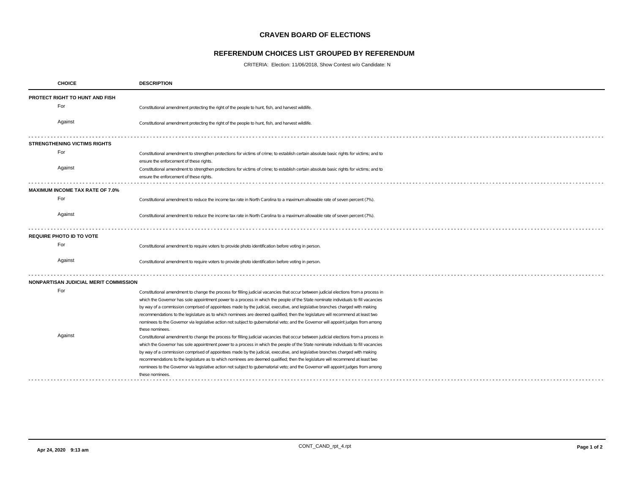## **CRAVEN BOARD OF ELECTIONS**

## **REFERENDUM CHOICES LIST GROUPED BY REFERENDUM**

CRITERIA: Election: 11/06/2018, Show Contest w/o Candidate: N

|                                       | <b>CHOICE</b>                          | <b>DESCRIPTION</b>                                                                                                                                                                                                                                             |  |  |  |
|---------------------------------------|----------------------------------------|----------------------------------------------------------------------------------------------------------------------------------------------------------------------------------------------------------------------------------------------------------------|--|--|--|
| <b>PROTECT RIGHT TO HUNT AND FISH</b> |                                        |                                                                                                                                                                                                                                                                |  |  |  |
|                                       | For                                    | Constitutional amendment protecting the right of the people to hunt, fish, and harvest wildlife.                                                                                                                                                               |  |  |  |
|                                       | Against                                | Constitutional amendment protecting the right of the people to hunt, fish, and harvest wildlife.                                                                                                                                                               |  |  |  |
|                                       | <b>STRENGTHENING VICTIMS RIGHTS</b>    |                                                                                                                                                                                                                                                                |  |  |  |
|                                       | For                                    | Constitutional amendment to strengthen protections for victims of crime; to establish certain absolute basic rights for victims; and to<br>ensure the enforcement of these rights.                                                                             |  |  |  |
|                                       | Against                                | Constitutional amendment to strengthen protections for victims of crime; to establish certain absolute basic rights for victims; and to<br>ensure the enforcement of these rights.                                                                             |  |  |  |
|                                       | <b>MAXIMUM INCOME TAX RATE OF 7.0%</b> |                                                                                                                                                                                                                                                                |  |  |  |
|                                       | For                                    | Constitutional amendment to reduce the income tax rate in North Carolina to a maximum allowable rate of seven percent (7%).                                                                                                                                    |  |  |  |
|                                       | Against                                | Constitutional amendment to reduce the income tax rate in North Carolina to a maximum allowable rate of seven percent (7%).                                                                                                                                    |  |  |  |
|                                       | <b>REQUIRE PHOTO ID TO VOTE</b>        |                                                                                                                                                                                                                                                                |  |  |  |
|                                       | For                                    | Constitutional amendment to require voters to provide photo identification before voting in person.                                                                                                                                                            |  |  |  |
|                                       | Against                                | Constitutional amendment to require voters to provide photo identification before voting in person.                                                                                                                                                            |  |  |  |
|                                       | NONPARTISAN JUDICIAL MERIT COMMISSION  |                                                                                                                                                                                                                                                                |  |  |  |
|                                       | For                                    | Constitutional amendment to change the process for filling judicial vacancies that occur between judicial elections from a process in                                                                                                                          |  |  |  |
|                                       |                                        | which the Governor has sole appointment power to a process in which the people of the State nominate individuals to fill vacancies                                                                                                                             |  |  |  |
|                                       |                                        | by way of a commission comprised of appointees made by the judicial, executive, and legislative branches charged with making<br>recommendations to the legislature as to which nominees are deemed qualified; then the legislature will recommend at least two |  |  |  |
|                                       |                                        | nominees to the Governor via legislative action not subject to gubernatorial veto; and the Governor will appoint judges from among                                                                                                                             |  |  |  |
|                                       |                                        | these nominees                                                                                                                                                                                                                                                 |  |  |  |
|                                       | Against                                | Constitutional amendment to change the process for filling judicial vacancies that occur between judicial elections from a process in                                                                                                                          |  |  |  |
|                                       |                                        | which the Governor has sole appointment power to a process in which the people of the State nominate individuals to fill vacancies                                                                                                                             |  |  |  |
|                                       |                                        | by way of a commission comprised of appointees made by the judicial, executive, and legislative branches charged with making                                                                                                                                   |  |  |  |
|                                       |                                        | recommendations to the legislature as to which nominees are deemed qualified; then the legislature will recommend at least two                                                                                                                                 |  |  |  |
|                                       |                                        | nominees to the Governor via legislative action not subject to gubernatorial veto; and the Governor will appoint judges from among<br>these nominees                                                                                                           |  |  |  |
|                                       |                                        |                                                                                                                                                                                                                                                                |  |  |  |